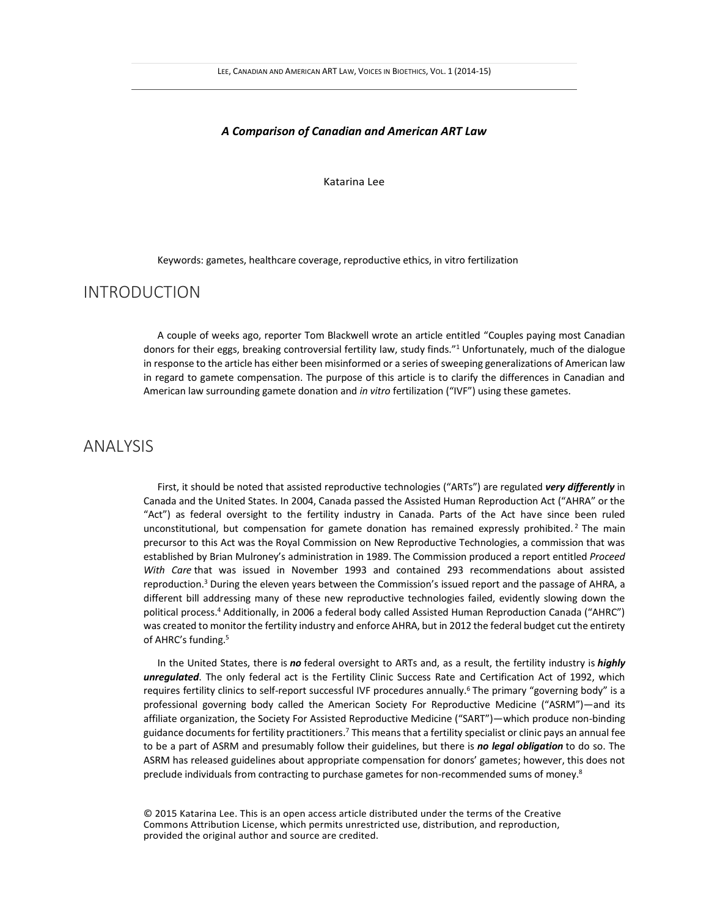### *A Comparison of Canadian and American ART Law*

Katarina Lee

Keywords: gametes, healthcare coverage, reproductive ethics, in vitro fertilization

## INTRODUCTION

A couple of weeks ago, reporter Tom Blackwell wrote an article entitled "Couples paying most Canadian donors for their eggs, breaking controversial fertility law, study finds."<sup>1</sup> Unfortunately, much of the dialogue in response to the article has either been misinformed or a series of sweeping generalizations of American law in regard to gamete compensation. The purpose of this article is to clarify the differences in Canadian and American law surrounding gamete donation and *in vitro* fertilization ("IVF") using these gametes.

# ANALYSIS

First, it should be noted that assisted reproductive technologies ("ARTs") are regulated *very differently* in Canada and the United States. In 2004, Canada passed the Assisted Human Reproduction Act ("AHRA" or the "Act") as federal oversight to the fertility industry in Canada. Parts of the Act have since been ruled unconstitutional, but compensation for gamete donation has remained expressly prohibited.<sup>2</sup> The main precursor to this Act was the Royal Commission on New Reproductive Technologies, a commission that was established by Brian Mulroney's administration in 1989. The Commission produced a report entitled *Proceed With Care* that was issued in November 1993 and contained 293 recommendations about assisted reproduction.<sup>3</sup> During the eleven years between the Commission's issued report and the passage of AHRA, a different bill addressing many of these new reproductive technologies failed, evidently slowing down the political process.<sup>4</sup> Additionally, in 2006 a federal body called Assisted Human Reproduction Canada ("AHRC") was created to monitor the fertility industry and enforce AHRA, but in 2012 the federal budget cut the entirety of AHRC's funding.<sup>5</sup>

In the United States, there is *no* federal oversight to ARTs and, as a result, the fertility industry is *highly unregulated*. The only federal act is the Fertility Clinic Success Rate and Certification Act of 1992, which requires fertility clinics to self-report successful IVF procedures annually.<sup>6</sup> The primary "governing body" is a professional governing body called the American Society For Reproductive Medicine ("ASRM")—and its affiliate organization, the Society For Assisted Reproductive Medicine ("SART")—which produce non-binding guidance documents for fertility practitioners.<sup>7</sup> This means that a fertility specialist or clinic pays an annual fee to be a part of ASRM and presumably follow their guidelines, but there is *no legal obligation* to do so. The ASRM has released guidelines about appropriate compensation for donors' gametes; however, this does not preclude individuals from contracting to purchase gametes for non-recommended sums of money.<sup>8</sup>

© 2015 Katarina Lee. This is an open access article distributed under the terms of the Creative Commons Attribution License, which permits unrestricted use, distribution, and reproduction, provided the original author and source are credited.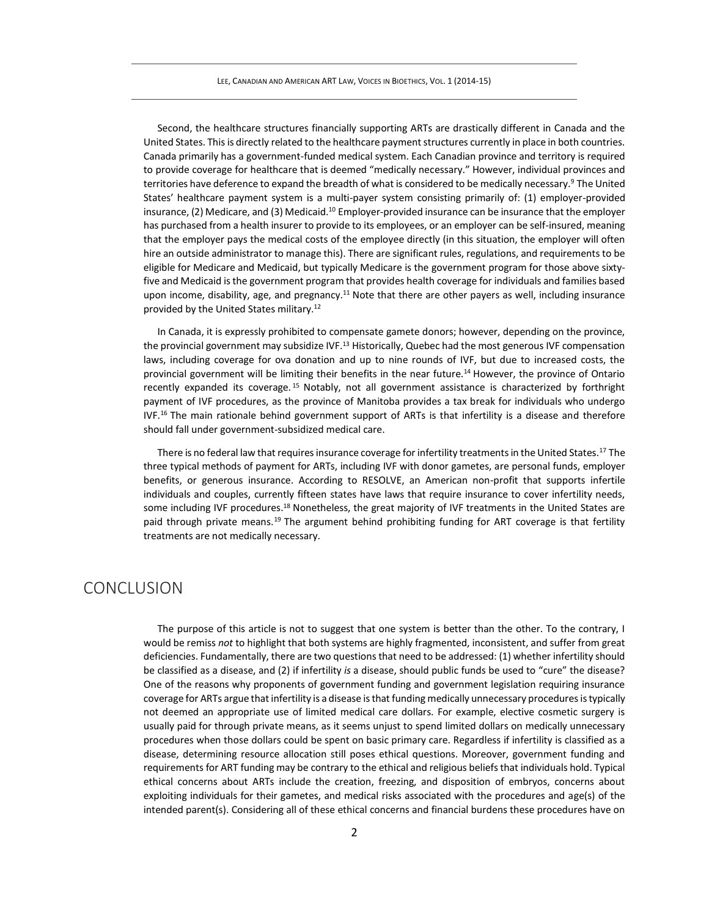Second, the healthcare structures financially supporting ARTs are drastically different in Canada and the United States. This is directly related to the healthcare payment structures currently in place in both countries. Canada primarily has a government-funded medical system. Each Canadian province and territory is required to provide coverage for healthcare that is deemed "medically necessary." However, individual provinces and territories have deference to expand the breadth of what is considered to be medically necessary.<sup>9</sup> The United States' healthcare payment system is a multi-payer system consisting primarily of: (1) employer-provided insurance, (2) Medicare, and (3) Medicaid.<sup>10</sup> Employer-provided insurance can be insurance that the employer has purchased from a health insurer to provide to its employees, or an employer can be self-insured, meaning that the employer pays the medical costs of the employee directly (in this situation, the employer will often hire an outside administrator to manage this). There are significant rules, regulations, and requirements to be eligible for Medicare and Medicaid, but typically Medicare is the government program for those above sixtyfive and Medicaid is the government program that provides health coverage for individuals and families based upon income, disability, age, and pregnancy.<sup>11</sup> Note that there are other payers as well, including insurance provided by the United States military.<sup>12</sup>

In Canada, it is expressly prohibited to compensate gamete donors; however, depending on the province, the provincial government may subsidize IVF.<sup>13</sup> Historically, Quebec had the most generous IVF compensation laws, including coverage for ova donation and up to nine rounds of IVF, but due to increased costs, the provincial government will be limiting their benefits in the near future.<sup>14</sup> However, the province of Ontario recently expanded its coverage. <sup>15</sup> Notably, not all government assistance is characterized by forthright payment of IVF procedures, as the province of Manitoba provides a tax break for individuals who undergo  $IVF<sub>16</sub>$  The main rationale behind government support of ARTs is that infertility is a disease and therefore should fall under government-subsidized medical care.

There is no federal law that requires insurance coverage for infertility treatments in the United States.<sup>17</sup> The three typical methods of payment for ARTs, including IVF with donor gametes, are personal funds, employer benefits, or generous insurance. According to RESOLVE, an American non-profit that supports infertile individuals and couples, currently fifteen states have laws that require insurance to cover infertility needs, some including IVF procedures.<sup>18</sup> Nonetheless, the great majority of IVF treatments in the United States are paid through private means.<sup>19</sup> The argument behind prohibiting funding for ART coverage is that fertility treatments are not medically necessary.

## **CONCLUSION**

The purpose of this article is not to suggest that one system is better than the other. To the contrary, I would be remiss *not* to highlight that both systems are highly fragmented, inconsistent, and suffer from great deficiencies. Fundamentally, there are two questions that need to be addressed: (1) whether infertility should be classified as a disease, and (2) if infertility *is* a disease, should public funds be used to "cure" the disease? One of the reasons why proponents of government funding and government legislation requiring insurance coverage for ARTs argue that infertility is a disease is that funding medically unnecessary procedures is typically not deemed an appropriate use of limited medical care dollars. For example, elective cosmetic surgery is usually paid for through private means, as it seems unjust to spend limited dollars on medically unnecessary procedures when those dollars could be spent on basic primary care. Regardless if infertility is classified as a disease, determining resource allocation still poses ethical questions. Moreover, government funding and requirements for ART funding may be contrary to the ethical and religious beliefs that individuals hold. Typical ethical concerns about ARTs include the creation, freezing, and disposition of embryos, concerns about exploiting individuals for their gametes, and medical risks associated with the procedures and age(s) of the intended parent(s). Considering all of these ethical concerns and financial burdens these procedures have on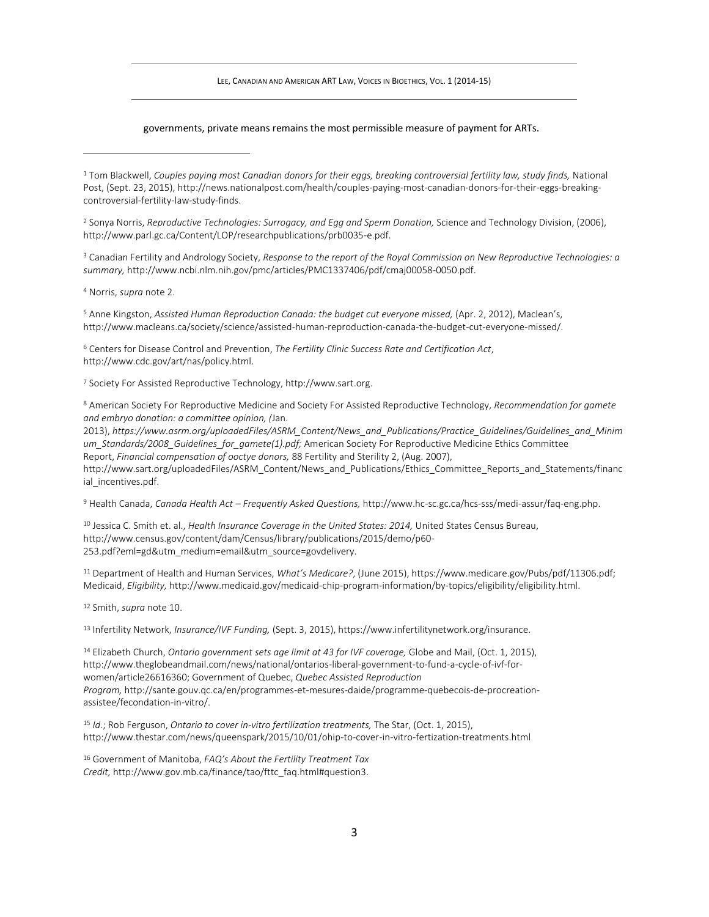LEE, CANADIAN AND AMERICAN ART LAW, VOICES IN BIOETHICS, VOL. 1 (2014-15)

#### governments, private means remains the most permissible measure of payment for ARTs.

<sup>1</sup> Tom Blackwell, *Couples paying most Canadian donors for their eggs, breaking controversial fertility law, study finds,* National Post, (Sept. 23, 2015), http://news.nationalpost.com/health/couples-paying-most-canadian-donors-for-their-eggs-breakingcontroversial-fertility-law-study-finds.

<sup>2</sup> Sonya Norris, *Reproductive Technologies: Surrogacy, and Egg and Sperm Donation,* Science and Technology Division, (2006), http://www.parl.gc.ca/Content/LOP/researchpublications/prb0035-e.pdf.

<sup>3</sup> Canadian Fertility and Andrology Society, *Response to the report of the Royal Commission on New Reproductive Technologies: a summary,* http://www.ncbi.nlm.nih.gov/pmc/articles/PMC1337406/pdf/cmaj00058-0050.pdf.

<sup>4</sup> Norris, *supra* note 2.

<sup>5</sup> Anne Kingston, *Assisted Human Reproduction Canada: the budget cut everyone missed,* (Apr. 2, 2012), Maclean's, http://www.macleans.ca/society/science/assisted-human-reproduction-canada-the-budget-cut-everyone-missed/.

<sup>6</sup> Centers for Disease Control and Prevention, *The Fertility Clinic Success Rate and Certification Act*, http://www.cdc.gov/art/nas/policy.html.

<sup>7</sup> Society For Assisted Reproductive Technology, http://www.sart.org.

<sup>8</sup> American Society For Reproductive Medicine and Society For Assisted Reproductive Technology, *Recommendation for gamete and embryo donation: a committee opinion, (*Jan.

2013), *https://www.asrm.org/uploadedFiles/ASRM\_Content/News\_and\_Publications/Practice\_Guidelines/Guidelines\_and\_Minim um\_Standards/2008\_Guidelines\_for\_gamete(1).pdf;* American Society For Reproductive Medicine Ethics Committee Report, *Financial compensation of ooctye donors,* 88 Fertility and Sterility 2, (Aug. 2007), http://www.sart.org/uploadedFiles/ASRM\_Content/News\_and\_Publications/Ethics\_Committee\_Reports\_and\_Statements/financ ial incentives.pdf.

<sup>9</sup> Health Canada, *Canada Health Act – Frequently Asked Questions,* http://www.hc-sc.gc.ca/hcs-sss/medi-assur/faq-eng.php.

<sup>10</sup> Jessica C. Smith et. al., *Health Insurance Coverage in the United States: 2014,* United States Census Bureau, http://www.census.gov/content/dam/Census/library/publications/2015/demo/p60- 253.pdf?eml=gd&utm\_medium=email&utm\_source=govdelivery.

<sup>11</sup> Department of Health and Human Services, *What's Medicare?*, (June 2015), https://www.medicare.gov/Pubs/pdf/11306.pdf; Medicaid, *Eligibility,* http://www.medicaid.gov/medicaid-chip-program-information/by-topics/eligibility/eligibility.html.

<sup>12</sup> Smith, *supra* note 10.

<sup>13</sup> Infertility Network, *Insurance/IVF Funding,* (Sept. 3, 2015), https://www.infertilitynetwork.org/insurance.

<sup>14</sup> Elizabeth Church, *Ontario government sets age limit at 43 for IVF coverage,* Globe and Mail, (Oct. 1, 2015), http://www.theglobeandmail.com/news/national/ontarios-liberal-government-to-fund-a-cycle-of-ivf-forwomen/article26616360; Government of Quebec, *Quebec Assisted Reproduction Program,* http://sante.gouv.qc.ca/en/programmes-et-mesures-daide/programme-quebecois-de-procreationassistee/fecondation-in-vitro/.

<sup>15</sup> *Id.*; Rob Ferguson, *Ontario to cover in-vitro fertilization treatments,* The Star, (Oct. 1, 2015), http://www.thestar.com/news/queenspark/2015/10/01/ohip-to-cover-in-vitro-fertization-treatments.html

<sup>16</sup> Government of Manitoba, *FAQ's About the Fertility Treatment Tax Credit,* http://www.gov.mb.ca/finance/tao/fttc\_faq.html#question3.